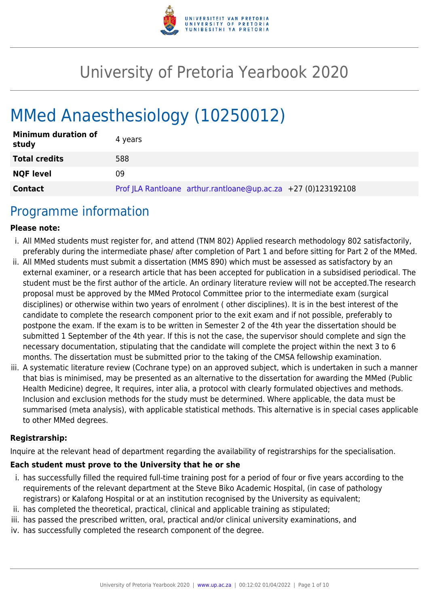

# University of Pretoria Yearbook 2020

# MMed Anaesthesiology (10250012)

| <b>Minimum duration of</b><br>study | 4 years                                                       |
|-------------------------------------|---------------------------------------------------------------|
| <b>Total credits</b>                | 588                                                           |
| <b>NQF level</b>                    | 09                                                            |
| <b>Contact</b>                      | Prof JLA Rantloane arthur.rantloane@up.ac.za +27 (0)123192108 |

## Programme information

#### **Please note:**

- i. All MMed students must register for, and attend (TNM 802) Applied research methodology 802 satisfactorily, preferably during the intermediate phase/ after completion of Part 1 and before sitting for Part 2 of the MMed.
- ii. All MMed students must submit a dissertation (MMS 890) which must be assessed as satisfactory by an external examiner, or a research article that has been accepted for publication in a subsidised periodical. The student must be the first author of the article. An ordinary literature review will not be accepted.The research proposal must be approved by the MMed Protocol Committee prior to the intermediate exam (surgical disciplines) or otherwise within two years of enrolment ( other disciplines). It is in the best interest of the candidate to complete the research component prior to the exit exam and if not possible, preferably to postpone the exam. If the exam is to be written in Semester 2 of the 4th year the dissertation should be submitted 1 September of the 4th year. If this is not the case, the supervisor should complete and sign the necessary documentation, stipulating that the candidate will complete the project within the next 3 to 6 months. The dissertation must be submitted prior to the taking of the CMSA fellowship examination.
- iii. A systematic literature review (Cochrane type) on an approved subject, which is undertaken in such a manner that bias is minimised, may be presented as an alternative to the dissertation for awarding the MMed (Public Health Medicine) degree, It requires, inter alia, a protocol with clearly formulated objectives and methods. Inclusion and exclusion methods for the study must be determined. Where applicable, the data must be summarised (meta analysis), with applicable statistical methods. This alternative is in special cases applicable to other MMed degrees.

#### **Registrarship:**

Inquire at the relevant head of department regarding the availability of registrarships for the specialisation.

#### **Each student must prove to the University that he or she**

- i. has successfully filled the required full-time training post for a period of four or five years according to the requirements of the relevant department at the Steve Biko Academic Hospital, (in case of pathology registrars) or Kalafong Hospital or at an institution recognised by the University as equivalent;
- ii. has completed the theoretical, practical, clinical and applicable training as stipulated;
- iii. has passed the prescribed written, oral, practical and/or clinical university examinations, and
- iv. has successfully completed the research component of the degree.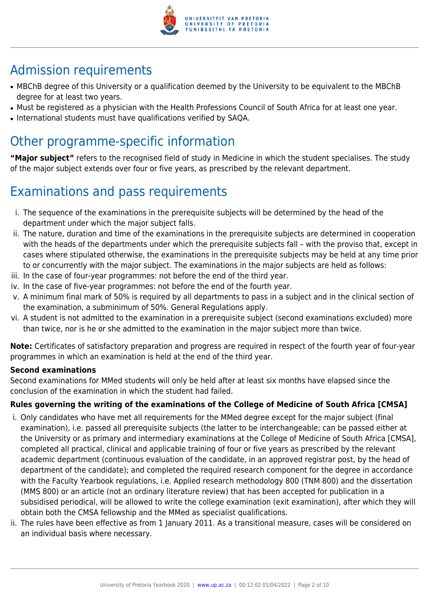

## Admission requirements

- MBChB degree of this University or a qualification deemed by the University to be equivalent to the MBChB degree for at least two years.
- Must be registered as a physician with the Health Professions Council of South Africa for at least one year.
- International students must have qualifications verified by SAQA.

## Other programme-specific information

**"Major subject"** refers to the recognised field of study in Medicine in which the student specialises. The study of the major subject extends over four or five years, as prescribed by the relevant department.

## Examinations and pass requirements

- i. The sequence of the examinations in the prerequisite subjects will be determined by the head of the department under which the major subject falls.
- ii. The nature, duration and time of the examinations in the prerequisite subjects are determined in cooperation with the heads of the departments under which the prerequisite subjects fall – with the proviso that, except in cases where stipulated otherwise, the examinations in the prerequisite subjects may be held at any time prior to or concurrently with the major subject. The examinations in the major subjects are held as follows:
- iii. In the case of four-year programmes: not before the end of the third year.
- iv. In the case of five-year programmes: not before the end of the fourth year.
- v. A minimum final mark of 50% is required by all departments to pass in a subject and in the clinical section of the examination, a subminimum of 50%. General Regulations apply.
- vi. A student is not admitted to the examination in a prerequisite subject (second examinations excluded) more than twice, nor is he or she admitted to the examination in the major subject more than twice.

**Note:** Certificates of satisfactory preparation and progress are required in respect of the fourth year of four-year programmes in which an examination is held at the end of the third year.

### **Second examinations**

Second examinations for MMed students will only be held after at least six months have elapsed since the conclusion of the examination in which the student had failed.

### **Rules governing the writing of the examinations of the College of Medicine of South Africa [CMSA]**

- i. Only candidates who have met all requirements for the MMed degree except for the major subject (final examination), i.e. passed all prerequisite subjects (the latter to be interchangeable; can be passed either at the University or as primary and intermediary examinations at the College of Medicine of South Africa [CMSA], completed all practical, clinical and applicable training of four or five years as prescribed by the relevant academic department (continuous evaluation of the candidate, in an approved registrar post, by the head of department of the candidate); and completed the required research component for the degree in accordance with the Faculty Yearbook regulations, i.e. Applied research methodology 800 (TNM 800) and the dissertation (MMS 800) or an article (not an ordinary literature review) that has been accepted for publication in a subsidised periodical, will be allowed to write the college examination (exit examination), after which they will obtain both the CMSA fellowship and the MMed as specialist qualifications.
- ii. The rules have been effective as from 1 January 2011. As a transitional measure, cases will be considered on an individual basis where necessary.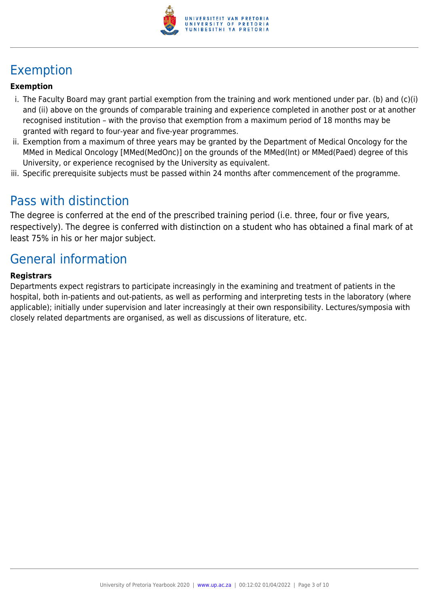

## Exemption

#### **Exemption**

- i. The Faculty Board may grant partial exemption from the training and work mentioned under par. (b) and (c)(i) and (ii) above on the grounds of comparable training and experience completed in another post or at another recognised institution – with the proviso that exemption from a maximum period of 18 months may be granted with regard to four-year and five-year programmes.
- ii. Exemption from a maximum of three years may be granted by the Department of Medical Oncology for the MMed in Medical Oncology [MMed(MedOnc)] on the grounds of the MMed(Int) or MMed(Paed) degree of this University, or experience recognised by the University as equivalent.
- iii. Specific prerequisite subjects must be passed within 24 months after commencement of the programme.

## Pass with distinction

The degree is conferred at the end of the prescribed training period (i.e. three, four or five years, respectively). The degree is conferred with distinction on a student who has obtained a final mark of at least 75% in his or her major subject.

## General information

#### **Registrars**

Departments expect registrars to participate increasingly in the examining and treatment of patients in the hospital, both in-patients and out-patients, as well as performing and interpreting tests in the laboratory (where applicable); initially under supervision and later increasingly at their own responsibility. Lectures/symposia with closely related departments are organised, as well as discussions of literature, etc.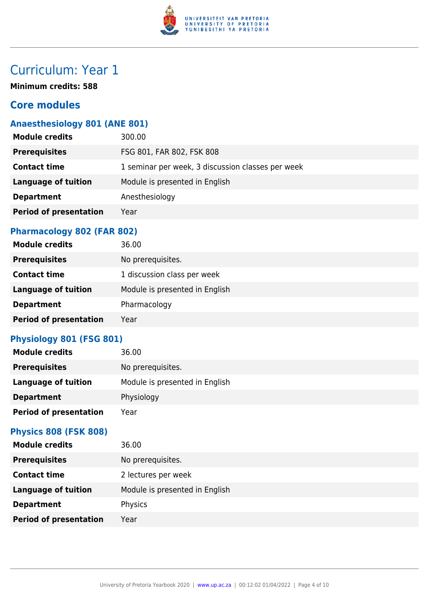

## Curriculum: Year 1

**Minimum credits: 588**

## **Core modules**

## **Anaesthesiology 801 (ANE 801)**

| <b>Module credits</b>         | 300.00                                            |
|-------------------------------|---------------------------------------------------|
| <b>Prerequisites</b>          | FSG 801, FAR 802, FSK 808                         |
| <b>Contact time</b>           | 1 seminar per week, 3 discussion classes per week |
| <b>Language of tuition</b>    | Module is presented in English                    |
| <b>Department</b>             | Anesthesiology                                    |
| <b>Period of presentation</b> | Year                                              |
|                               |                                                   |

### **Pharmacology 802 (FAR 802)**

| <b>Module credits</b>         | 36.00                          |
|-------------------------------|--------------------------------|
| <b>Prerequisites</b>          | No prerequisites.              |
| <b>Contact time</b>           | 1 discussion class per week    |
| <b>Language of tuition</b>    | Module is presented in English |
| <b>Department</b>             | Pharmacology                   |
| <b>Period of presentation</b> | Year                           |

### **Physiology 801 (FSG 801)**

| <b>Module credits</b>         | 36.00                          |
|-------------------------------|--------------------------------|
| <b>Prerequisites</b>          | No prerequisites.              |
| <b>Language of tuition</b>    | Module is presented in English |
| <b>Department</b>             | Physiology                     |
| <b>Period of presentation</b> | Year                           |

### **Physics 808 (FSK 808)**

| <b>Module credits</b>         | 36.00                          |
|-------------------------------|--------------------------------|
| <b>Prerequisites</b>          | No prerequisites.              |
| <b>Contact time</b>           | 2 lectures per week            |
| <b>Language of tuition</b>    | Module is presented in English |
| <b>Department</b>             | Physics                        |
| <b>Period of presentation</b> | Year                           |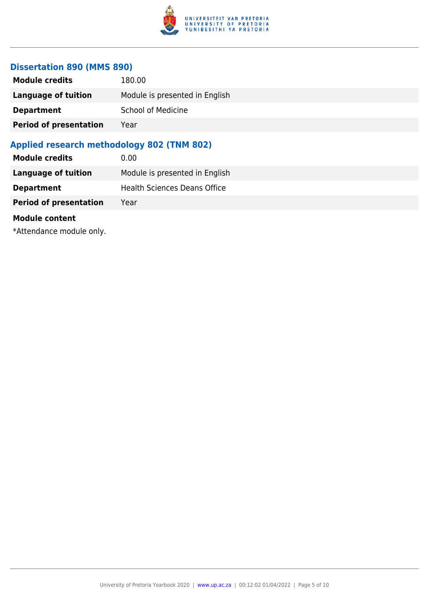

#### **Dissertation 890 (MMS 890)**

| <b>Module credits</b>         | 180.00                         |
|-------------------------------|--------------------------------|
| Language of tuition           | Module is presented in English |
| <b>Department</b>             | <b>School of Medicine</b>      |
| <b>Period of presentation</b> | Year                           |
|                               |                                |

### **Applied research methodology 802 (TNM 802)**

| <b>Module credits</b>         | 0.00                           |
|-------------------------------|--------------------------------|
| Language of tuition           | Module is presented in English |
| <b>Department</b>             | Health Sciences Deans Office   |
| <b>Period of presentation</b> | Year                           |
|                               |                                |

#### **Module content**

\*Attendance module only.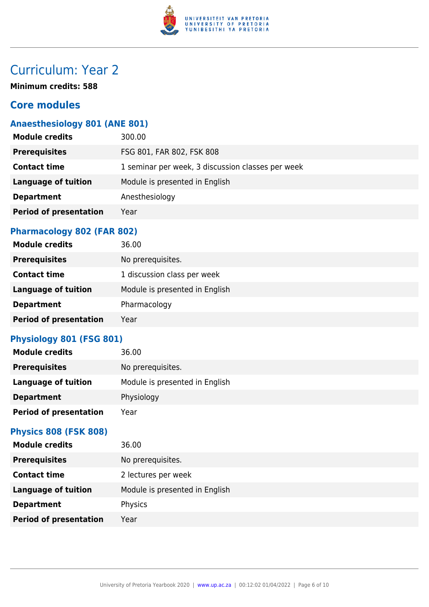

## Curriculum: Year 2

**Minimum credits: 588**

## **Core modules**

## **Anaesthesiology 801 (ANE 801)**

| <b>Module credits</b>         | 300.00                                            |
|-------------------------------|---------------------------------------------------|
| <b>Prerequisites</b>          | FSG 801, FAR 802, FSK 808                         |
| <b>Contact time</b>           | 1 seminar per week, 3 discussion classes per week |
| <b>Language of tuition</b>    | Module is presented in English                    |
| <b>Department</b>             | Anesthesiology                                    |
| <b>Period of presentation</b> | Year                                              |
|                               |                                                   |

### **Pharmacology 802 (FAR 802)**

| <b>Module credits</b>         | 36.00                          |
|-------------------------------|--------------------------------|
| <b>Prerequisites</b>          | No prerequisites.              |
| <b>Contact time</b>           | 1 discussion class per week    |
| <b>Language of tuition</b>    | Module is presented in English |
| <b>Department</b>             | Pharmacology                   |
| <b>Period of presentation</b> | Year                           |

### **Physiology 801 (FSG 801)**

| <b>Module credits</b>         | 36.00                          |
|-------------------------------|--------------------------------|
| <b>Prerequisites</b>          | No prerequisites.              |
| <b>Language of tuition</b>    | Module is presented in English |
| <b>Department</b>             | Physiology                     |
| <b>Period of presentation</b> | Year                           |

#### **Physics 808 (FSK 808)**

| <b>Module credits</b>         | 36.00                          |
|-------------------------------|--------------------------------|
| <b>Prerequisites</b>          | No prerequisites.              |
| <b>Contact time</b>           | 2 lectures per week            |
| <b>Language of tuition</b>    | Module is presented in English |
| <b>Department</b>             | Physics                        |
| <b>Period of presentation</b> | Year                           |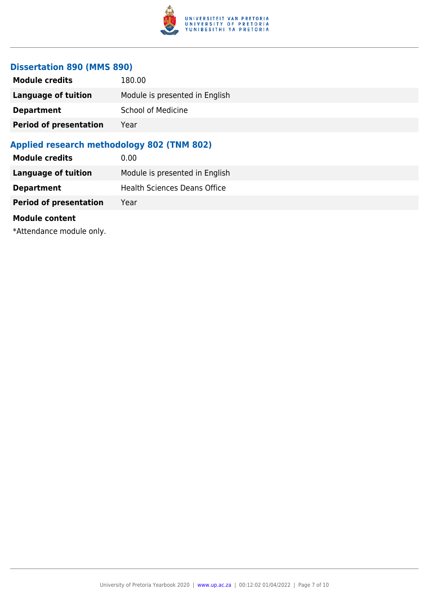

#### **Dissertation 890 (MMS 890)**

| <b>Module credits</b>         | 180.00                         |
|-------------------------------|--------------------------------|
| <b>Language of tuition</b>    | Module is presented in English |
| <b>Department</b>             | <b>School of Medicine</b>      |
| <b>Period of presentation</b> | Year                           |
|                               |                                |

### **Applied research methodology 802 (TNM 802)**

| Module is presented in English      |
|-------------------------------------|
| <b>Health Sciences Deans Office</b> |
|                                     |
|                                     |

#### **Module content**

\*Attendance module only.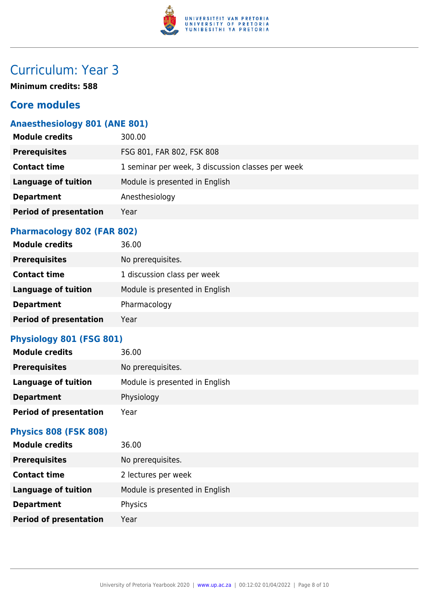

## Curriculum: Year 3

**Minimum credits: 588**

## **Core modules**

## **Anaesthesiology 801 (ANE 801)**

| <b>Module credits</b>         | 300.00                                            |
|-------------------------------|---------------------------------------------------|
| <b>Prerequisites</b>          | FSG 801, FAR 802, FSK 808                         |
| <b>Contact time</b>           | 1 seminar per week, 3 discussion classes per week |
| <b>Language of tuition</b>    | Module is presented in English                    |
| <b>Department</b>             | Anesthesiology                                    |
| <b>Period of presentation</b> | Year                                              |
|                               |                                                   |

### **Pharmacology 802 (FAR 802)**

| <b>Module credits</b>         | 36.00                          |
|-------------------------------|--------------------------------|
| <b>Prerequisites</b>          | No prerequisites.              |
| <b>Contact time</b>           | 1 discussion class per week    |
| <b>Language of tuition</b>    | Module is presented in English |
| <b>Department</b>             | Pharmacology                   |
| <b>Period of presentation</b> | Year                           |

### **Physiology 801 (FSG 801)**

| <b>Module credits</b>         | 36.00                          |
|-------------------------------|--------------------------------|
| <b>Prerequisites</b>          | No prerequisites.              |
| <b>Language of tuition</b>    | Module is presented in English |
| <b>Department</b>             | Physiology                     |
| <b>Period of presentation</b> | Year                           |

#### **Physics 808 (FSK 808)**

| <b>Module credits</b>         | 36.00                          |
|-------------------------------|--------------------------------|
| <b>Prerequisites</b>          | No prerequisites.              |
| <b>Contact time</b>           | 2 lectures per week            |
| <b>Language of tuition</b>    | Module is presented in English |
| <b>Department</b>             | Physics                        |
| <b>Period of presentation</b> | Year                           |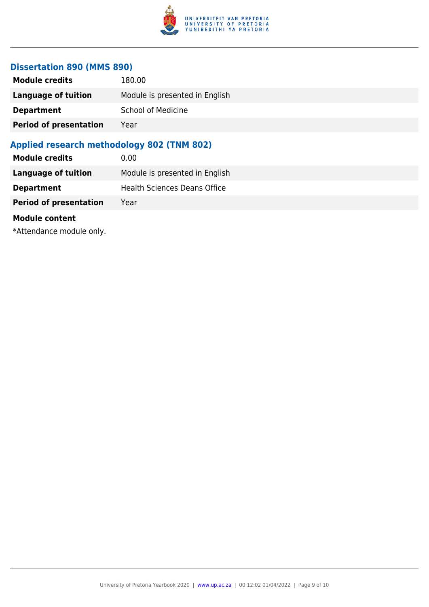

#### **Dissertation 890 (MMS 890)**

| <b>Module credits</b>         | 180.00                         |
|-------------------------------|--------------------------------|
| <b>Language of tuition</b>    | Module is presented in English |
| <b>Department</b>             | <b>School of Medicine</b>      |
| <b>Period of presentation</b> | Year                           |
|                               |                                |

### **Applied research methodology 802 (TNM 802)**

| Module is presented in English      |
|-------------------------------------|
| <b>Health Sciences Deans Office</b> |
|                                     |
|                                     |

#### **Module content**

\*Attendance module only.